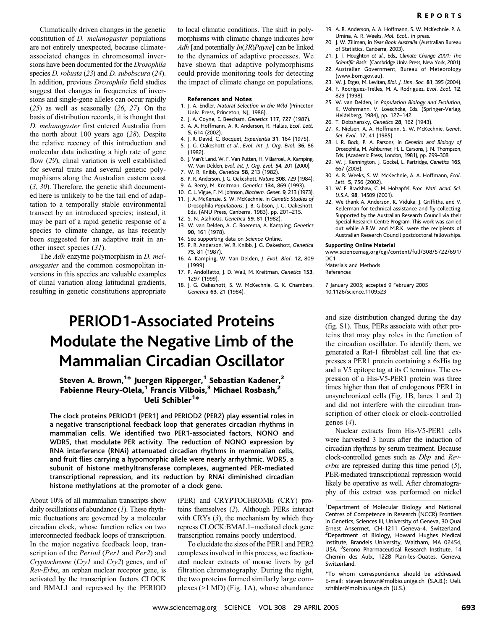Climatically driven changes in the genetic constitution of *D. melanogaster* populations are not entirely unexpected, because climateassociated changes in chromosomal inversions have been documented for the Drosophila species *D. robusta* (23) and *D. subobscura* (24). In addition, previous Drosophila field studies suggest that changes in frequencies of inversions and single-gene alleles can occur rapidly  $(25)$  as well as seasonally  $(26, 27)$ . On the basis of distribution records, it is thought that D. melanogaster first entered Australia from the north about 100 years ago (28). Despite the relative recency of this introduction and molecular data indicating a high rate of gene flow (29), clinal variation is well established for several traits and several genetic polymophisms along the Australian eastern coast  $(3, 30)$ . Therefore, the genetic shift documented here is unlikely to be the tail end of adaptation to a temporally stable environmental transect by an introduced species; instead, it may be part of a rapid genetic response of a species to climate change, as has recently been suggested for an adaptive trait in another insect species (31).

The Adh enzyme polymorphism in D. melanogaster and the common cosmopolitan inversions in this species are valuable examples of clinal variation along latitudinal gradients, resulting in genetic constitutions appropriate

to local climatic conditions. The shift in polymorphisms with climatic change indicates how Adh [and potentially  $In(3R)Payne$ ] can be linked to the dynamics of adaptive processes. We have shown that adaptive polymorphisms could provide monitoring tools for detecting the impact of climate change on populations.

### References and Notes

- 1. J. A. Endler, Natural Selection in the Wild (Princeton Univ. Press, Princeton, NJ, 1986).
- 2. J. A. Coyne, E. Beecham, Genetics 117, 727 (1987).
- 3. A. A. Hoffmann, A. R. Anderson, R. Hallas, Ecol. Lett. 5, 614 (2002).
- 4. J. R. David, C. Bocquet, Experientia 31, 164 (1975).
- 5. J. G. Oakeshott et al., Evol. Int. J. Org. Evol. 36, 86 (1982).
- 6. J. Van't Land, W. F. Van Putten, H. Villarroel, A. Kamping, W. Van Delden, Evol. Int. J. Org. Evol. 54, 201 (2000).
- 7. W. R. Knibb, Genetica 58, 213 (1982).
- 8. P. R. Anderson, J. G. Oakeshott, Nature 308, 729 (1984). 9. A. Berry, M. Kreitman, Genetics 134, 869 (1993).
- 
- 10. C. L. Vigue, F. M. Johnson, Biochem. Genet. 9, 213 (1973) 11. J. A. McKenzie, S. W. McKechnie, in Genetic Studies of Drosophila Populations, J. B. Gibson, J. G. Oakeshott, Eds. (ANU Press, Canberra, 1983), pp. 201–215.
- 12. S. N. Alahiotis, Genetica 59, 81 (1982).
- 13. W. van Delden, A. C. Boerema, A. Kamping, Genetics 90, 161 (1978).
- 14. See supporting data on Science Online.
- 15. P. R. Anderson, W. R. Knibb, J. G. Oakeshott, Genetica 75, 81 (1987). 16. A. Kamping, W. Van Delden, J. Evol. Biol. 12, 809
- (1999). 17. P. Andolfatto, J. D. Wall, M. Kreitman, Genetics 153,
- 1297 (1999).
- 18. J. G. Oakeshott, S. W. McKechnie, G. K. Chambers, Genetica 63, 21 (1984).
- PERIOD1-Associated Proteins Modulate the Negative Limb of the Mammalian Circadian Oscillator

# Steven A. Brown,<sup>1\*</sup> Juergen Ripperger,<sup>1</sup> Sebastian Kadener,<sup>2</sup> Fabienne Fleury-Olela,<sup>1</sup> Francis Vilbois,<sup>3</sup> Michael Rosbash,<sup>2</sup> Ueli Schibler<sup>1\*</sup>

The clock proteins PERIOD1 (PER1) and PERIOD2 (PER2) play essential roles in a negative transcriptional feedback loop that generates circadian rhythms in mammalian cells. We identified two PER1-associated factors, NONO and WDR5, that modulate PER activity. The reduction of NONO expression by RNA interference (RNAi) attenuated circadian rhythms in mammalian cells, and fruit flies carrying a hypomorphic allele were nearly arrhythmic. WDR5, a subunit of histone methyltransferase complexes, augmented PER-mediated transcriptional repression, and its reduction by RNAi diminished circadian histone methylations at the promoter of a clock gene.

About 10% of all mammalian transcripts show daily oscillations of abundance  $(1)$ . These rhythmic fluctuations are governed by a molecular circadian clock, whose function relies on two interconnected feedback loops of transcription. In the major negative feedback loop, transcription of the *Period* (*Per1* and *Per2*) and Cryptochrome (Cry1 and Cry2) genes, and of Rev-Erba, an orphan nuclear receptor gene, is activated by the transcription factors CLOCK and BMAL1 and repressed by the PERIOD

(PER) and CRYPTOCHROME (CRY) proteins themselves (2). Although PERs interact with CRYs  $(3)$ , the mechanism by which they repress CLOCK:BMAL1–mediated clock gene transcription remains poorly understood.

To elucidate the sizes of the PER1 and PER2 complexes involved in this process, we fractionated nuclear extracts of mouse livers by gel filtration chromatography. During the night, the two proteins formed similarly large complexes  $(>1$  MD) (Fig. 1A), whose abundance

- 19. A. R. Anderson, A. A. Hoffmann, S. W. McKechnie, P. A. Umina, A. R. Weeks, Mol. Ecol., in press.
- 20. J. W. Zillman, in Year Book Australia (Australian Bureau of Statistics, Canberra, 2003).
- 21. J. T. Houghton et al., Eds., Climate Change 2001: The Scientific Basis (Cambridge Univ. Press, New York, 2001).
- 22. Australian Government, Bureau of Meteorology (www.bom.gov.au).
- 23. W. J. Etges, M. Levitan, Biol. J. Linn. Soc. 81, 395 (2004). 24. F. Rodriguez-Trelles, M. A. Rodriguez, Evol. Ecol. 12,
- 829 (1998).
- 25. W. van Delden, in Population Biology and Evolution, K. Wohrmann, V. Loeschcke, Eds. (Springer-Verlag, Heidelberg, 1984), pp. 127–142.
- 26. T. Dobzhansky, Genetics 28, 162 (1943).
- 27. K. Nielsen, A. A. Hoffmann, S. W. McKechnie, Genet. Sel. Evol. 17, 41 (1985).
- 28. I. R. Bock, P. A. Parsons, in Genetics and Biology of Drosophila, M. Ashburner, H. L. Carsons, J. N. Thompson, Eds. (Academic Press, London, 1981), pp. 299–308.
- 29. W. J. Kennington, J. Gockel, L. Partridge, Genetics 165, 667 (2003).
- 30. A. R. Weeks, S. W. McKechnie, A. A. Hoffmann, Ecol. Lett. 5, 756 (2002).
- 31. W. E. Bradshaw, C. M. Holzapfel, Proc. Natl. Acad. Sci. U.S.A. 98, 14509 (2001).
- 32. We thank A. Anderson, K. Viduka, J. Griffiths, and V. Kellerman for technical assistance and fly collecting. Supported by the Australian Research Council via their Special Research Centre Program. This work was carried out while A.R.W. and M.R.K. were the recipients of Australian Research Council postdoctoral fellowships.

### Supporting Online Material

www.sciencemag.org/cgi/content/full/308/5722/691/ D<sub>C1</sub>

Materials and Methods

References

7 January 2005; accepted 9 February 2005 10.1126/science.1109523

and size distribution changed during the day (fig. S1). Thus, PERs associate with other proteins that may play roles in the function of the circadian oscillator. To identify them, we generated a Rat-1 fibroblast cell line that expresses a PER1 protein containing a 6xHis tag and a V5 epitope tag at its C terminus. The expression of a His-V5-PER1 protein was three times higher than that of endogenous PER1 in unsynchronized cells (Fig. 1B, lanes 1 and 2) and did not interfere with the circadian transcription of other clock or clock-controlled genes (4).

Nuclear extracts from His-V5-PER1 cells were harvested 3 hours after the induction of circadian rhythms by serum treatment. Because clock-controlled genes such as Dbp and Rev $erba$  are repressed during this time period  $(5)$ , PER-mediated transcriptional repression would likely be operative as well. After chromatography of this extract was performed on nickel

\*To whom correspondence should be addressed. E-mail: steven.brown@molbio.unige.ch (S.A.B.); Ueli. schibler@molbio.unige.ch (U.S.)

<sup>&</sup>lt;sup>1</sup>Department of Molecular Biology and National Centres of Competence in Research (NCCR) Frontiers in Genetics, Sciences III, University of Geneva, 30 Quai Ernest Ansermet, CH-1211 Geneva-4, Switzerland. <sup>2</sup>Department of Biology, Howard Hughes Medical Institute, Brandeis University, Waltham, MA 02454, USA. <sup>3</sup>Serono Pharmaceutical Research Institute, 14 Chemin des Aulx, 1228 Plan-les-Ouates, Geneva, Switzerland.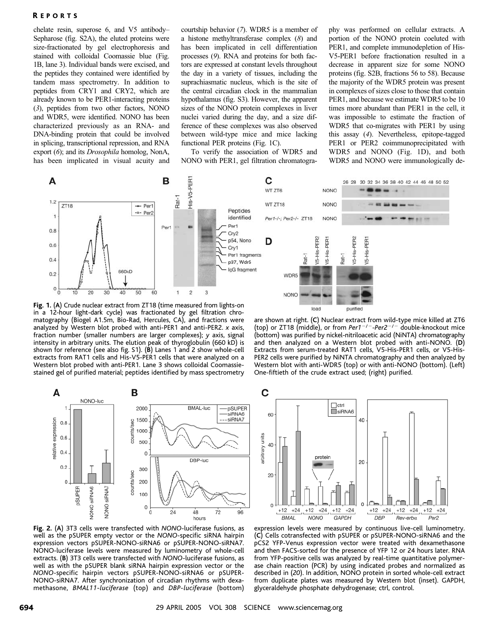## R EPORTS

chelate resin, superose 6, and V5 antibody– Sepharose (fig. S2A), the eluted proteins were size-fractionated by gel electrophoresis and stained with colloidal Coomassie blue (Fig. 1B, lane 3). Individual bands were excised, and the peptides they contained were identified by tandem mass spectrometry. In addition to peptides from CRY1 and CRY2, which are already known to be PER1-interacting proteins (3), peptides from two other factors, NONO and WDR5, were identified. NONO has been characterized previously as an RNA- and DNA-binding protein that could be involved in splicing, transcriptional repression, and RNA export (6); and its Drosophila homolog, NonA, has been implicated in visual acuity and

courtship behavior (7). WDR5 is a member of a histone methyltransferase complex (8) and has been implicated in cell differentiation processes (9). RNA and proteins for both factors are expressed at constant levels throughout the day in a variety of tissues, including the suprachiasmatic nucleus, which is the site of the central circadian clock in the mammalian hypothalamus (fig. S3). However, the apparent sizes of the NONO protein complexes in liver nuclei varied during the day, and a size difference of these complexes was also observed between wild-type mice and mice lacking functional PER proteins (Fig. 1C).

To verify the association of WDR5 and NONO with PER1, gel filtration chromatography was performed on cellular extracts. A portion of the NONO protein coeluted with PER1, and complete immunodepletion of His-V5-PER1 before fractionation resulted in a decrease in apparent size for some NONO proteins (fig. S2B, fractions 56 to 58). Because the majority of the WDR5 protein was present in complexes of sizes close to those that contain PER1, and because we estimate WDR5 to be 10 times more abundant than PER1 in the cell, it was impossible to estimate the fraction of WDR5 that co-migrates with PER1 by using this assay (4). Nevertheless, epitope-tagged PER1 or PER2 coimmunoprecipitated with WDR5 and NONO (Fig. 1D), and both WDR5 and NONO were immunologically de-



Fig. 1. (A) Crude nuclear extract from ZT18 (time measured from lights-on in a 12-hour light-dark cycle) was fractionated by gel filtration chromatography (Biogel A1.5m, Bio-Rad, Hercules, CA), and fractions were analyzed by Western blot probed with anti-PER1 and anti-PER2. x axis, fraction number (smaller numbers are larger complexes); y axis, signal intensity in arbitrary units. The elution peak of thyroglobulin (660 kD) is shown for reference (see also fig. S1). (B) Lanes 1 and 2 show whole-cell extracts from RAT1 cells and His-V5-PER1 cells that were analyzed on a Western blot probed with anti-PER1. Lane 3 shows colloidal Coomassiestained gel of purified material; peptides identified by mass spectrometry

are shown at right. (C) Nuclear extract from wild-type mice killed at ZT6 (top) or ZT18 (middle), or from Per1<sup>-/-</sup>-Per2<sup>-/-</sup> double-knockout mice (bottom) was purified by nickel-nitriloacetic acid (NiNTA) chromatography and then analyzed on a Western blot probed with anti-NONO. (D) Extracts from serum-treated RAT1 cells, V5-His-PER1 cells, or V5-His-PER2 cells were purified by NiNTA chromatography and then analyzed by Western blot with anti-WDR5 (top) or with anti-NONO (bottom). (Left) One-fiftieth of the crude extract used; (right) purified.

purified

load



Fig. 2. (A) 3T3 cells were transfected with NONO-luciferase fusions, as well as the pSUPER empty vector or the NONO-specific siRNA hairpin expression vectors pSUPER-NONO-siRNA6 or pSUPER-NONO-siRNA7. NONO-luciferase levels were measured by luminometry of whole-cell extracts. (B) 3T3 cells were transfected with NONO-luciferase fusions, as well as with the pSUPER blank siRNA hairpin expression vector or the NONO-specific hairpin vectors pSUPER-NONO-siRNA6 or pSUPER-NONO-siRNA7. After synchronization of circadian rhythms with dexamethasone, BMAL11-luciferase (top) and DBP-luciferase (bottom)



expression levels were measured by continuous live-cell luminometry. (C) Cells cotransfected with pSUPER or pSUPER-NONO-siRNA6 and the pCS2 YFP-Venus expression vector were treated with dexamethasone and then FACS-sorted for the presence of YFP 12 or 24 hours later. RNA from YFP-positive cells was analyzed by real-time quantitative polymerase chain reaction (PCR) by using indicated probes and normalized as described in (20). In addition, NONO protein in sorted whole-cell extract from duplicate plates was measured by Western blot (inset). GAPDH, glyceraldehyde phosphate dehydrogenase; ctrl, control.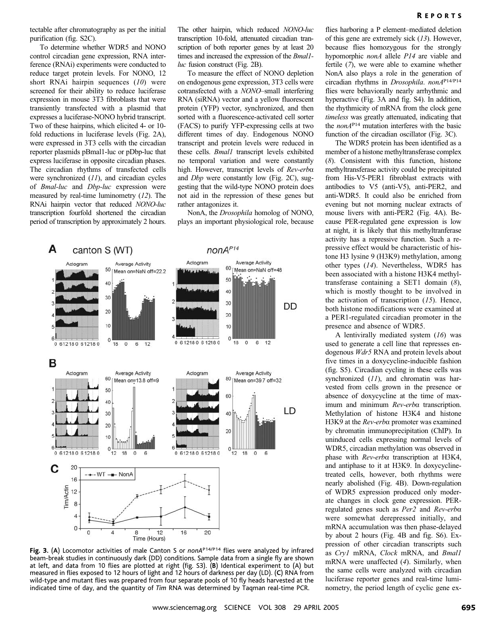tectable after chromatography as per the initial purification (fig. S2C).

To determine whether WDR5 and NONO control circadian gene expression, RNA interference (RNAi) experiments were conducted to reduce target protein levels. For NONO, 12 short RNAi hairpin sequences (10) were screened for their ability to reduce luciferase expression in mouse 3T3 fibroblasts that were transiently transfected with a plasmid that expresses a luciferase-NONO hybrid transcript. Two of these hairpins, which elicited 4- or 10 fold reductions in luciferase levels (Fig. 2A), were expressed in 3T3 cells with the circadian reporter plasmids pBmal1-luc or pDbp-luc that express luciferase in opposite circadian phases. The circadian rhythms of transfected cells were synchronized (11), and circadian cycles of Bmal-luc and Dbp-luc expression were measured by real-time luminometry  $(12)$ . The RNAi hairpin vector that reduced NONO-luc transcription fourfold shortened the circadian period of transcription by approximately 2 hours.

The other hairpin, which reduced NONO-luc transcription 10-fold, attenuated circadian transcription of both reporter genes by at least 20 times and increased the expression of the *Bmall*luc fusion construct (Fig. 2B).

To measure the effect of NONO depletion on endogenous gene expression, 3T3 cells were cotransfected with a NONO–small interfering RNA (siRNA) vector and a yellow fluorescent protein (YFP) vector, synchronized, and then sorted with a fluorescence-activated cell sorter (FACS) to purify YFP-expressing cells at two different times of day. Endogenous NONO transcript and protein levels were reduced in these cells. **Bmal1** transcript levels exhibited no temporal variation and were constantly high. However, transcript levels of Rev-erba and Dbp were constantly low (Fig. 2C), suggesting that the wild-type NONO protein does not aid in the repression of these genes but rather antagonizes it.

NonA, the Drosophila homolog of NONO, plays an important physiological role, because



Fig. 3. (A) Locomotor activities of male Canton S or nonAP14/P14 flies were analyzed by infrared beam-break studies in continuously dark (DD) conditions. Sample data from a single fly are shown at left, and data from 10 flies are plotted at right (fig. S3). (B) Identical experiment to (A) but measured in flies exposed to 12 hours of light and 12 hours of darkness per day (LD). (C) RNA from wild-type and mutant flies was prepared from four separate pools of 10 fly heads harvested at the indicated time of day, and the quantity of Tim RNA was determined by Taqman real-time PCR.

flies harboring a P element–mediated deletion of this gene are extremely sick (13). However, because flies homozygous for the strongly hypomorphic *nonA* allele *P14* are viable and fertile (7), we were able to examine whether NonA also plays a role in the generation of circadian rhythms in Drosophila. nonAP14/P14 flies were behaviorally nearly arrhythmic and hyperactive (Fig. 3A and fig. S4). In addition, the rhythmicity of mRNA from the clock gene timeless was greatly attenuated, indicating that the nonAP14 mutation interferes with the basic function of the circadian oscillator (Fig. 3C).

The WDR5 protein has been identified as a member of a histone methyltransferase complex (8). Consistent with this function, histone methyltransferase activity could be precipitated from His-V5-PER1 fibroblast extracts with antibodies to V5 (anti-V5), anti-PER2, and anti-WDR5. It could also be enriched from evening but not morning nuclear extracts of mouse livers with anti-PER2 (Fig. 4A). Because PER-regulated gene expression is low at night, it is likely that this methyltranferase activity has a repressive function. Such a repressive effect would be characteristic of histone H3 lysine 9 (H3K9) methylation, among other types (14). Nevertheless, WDR5 has been associated with a histone H3K4 methyltransferase containing a SET1 domain (8), which is mostly thought to be involved in the activation of transcription  $(15)$ . Hence, both histone modifications were examined at a PER1-regulated circadian promoter in the presence and absence of WDR5.

A lentivirally mediated system  $(16)$  was used to generate a cell line that represses endogenous Wdr5 RNA and protein levels about five times in a doxycycline-inducible fashion (fig. S5). Circadian cycling in these cells was synchronized (11), and chromatin was harvested from cells grown in the presence or absence of doxycycline at the time of maximum and minimum Rev-erba transcription. Methylation of histone H3K4 and histone H3K9 at the *Rev-erba* promoter was examined by chromatin immunoprecipitation (ChIP). In uninduced cells expressing normal levels of WDR5, circadian methylation was observed in phase with Rev-erba transcription at H3K4, and antiphase to it at H3K9. In doxycyclinetreated cells, however, both rhythms were nearly abolished (Fig. 4B). Down-regulation of WDR5 expression produced only moderate changes in clock gene expression. PERregulated genes such as Per2 and Rev-erba were somewhat derepressed initially, and mRNA accumulation was then phase-delayed by about 2 hours (Fig. 4B and fig. S6). Expression of other circadian transcripts such as Cry1 mRNA, Clock mRNA, and Bmal1 mRNA were unaffected (4). Similarly, when the same cells were analyzed with circadian luciferase reporter genes and real-time luminometry, the period length of cyclic gene ex-